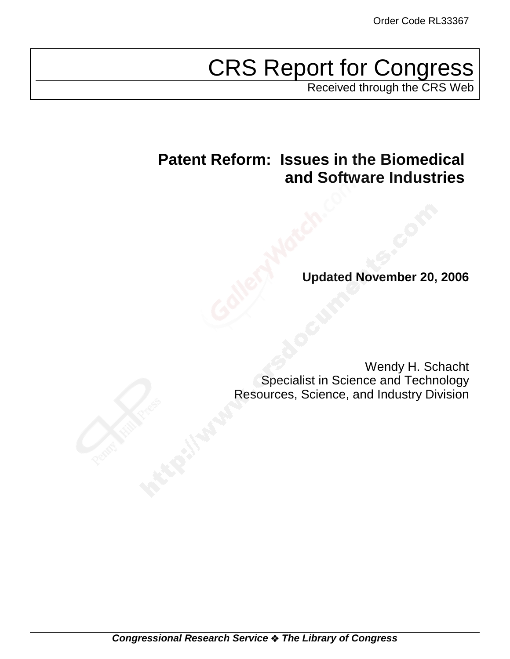# CRS Report for Congress

Received through the CRS Web

# **Patent Reform: Issues in the Biomedical and Software Industries**

**Updated November 20, 2006**

Wendy H. Schacht Specialist in Science and Technology Resources, Science, and Industry Division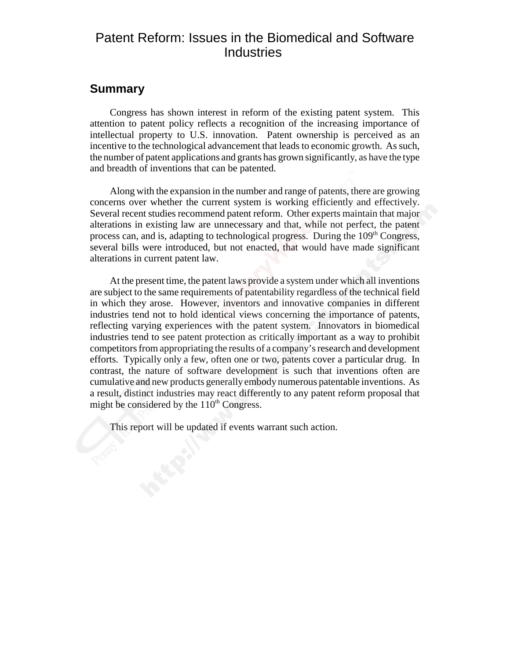### Patent Reform: Issues in the Biomedical and Software **Industries**

#### **Summary**

Congress has shown interest in reform of the existing patent system. This attention to patent policy reflects a recognition of the increasing importance of intellectual property to U.S. innovation. Patent ownership is perceived as an incentive to the technological advancement that leads to economic growth. As such, the number of patent applications and grants has grown significantly, as have the type and breadth of inventions that can be patented.

Along with the expansion in the number and range of patents, there are growing concerns over whether the current system is working efficiently and effectively. Several recent studies recommend patent reform. Other experts maintain that major alterations in existing law are unnecessary and that, while not perfect, the patent process can, and is, adapting to technological progress. During the 109<sup>th</sup> Congress, several bills were introduced, but not enacted, that would have made significant alterations in current patent law.

At the present time, the patent laws provide a system under which all inventions are subject to the same requirements of patentability regardless of the technical field in which they arose. However, inventors and innovative companies in different industries tend not to hold identical views concerning the importance of patents, reflecting varying experiences with the patent system. Innovators in biomedical industries tend to see patent protection as critically important as a way to prohibit competitors from appropriating the results of a company's research and development efforts. Typically only a few, often one or two, patents cover a particular drug. In contrast, the nature of software development is such that inventions often are cumulative and new products generally embody numerous patentable inventions. As a result, distinct industries may react differently to any patent reform proposal that might be considered by the  $110<sup>th</sup> Congress$ .

This report will be updated if events warrant such action.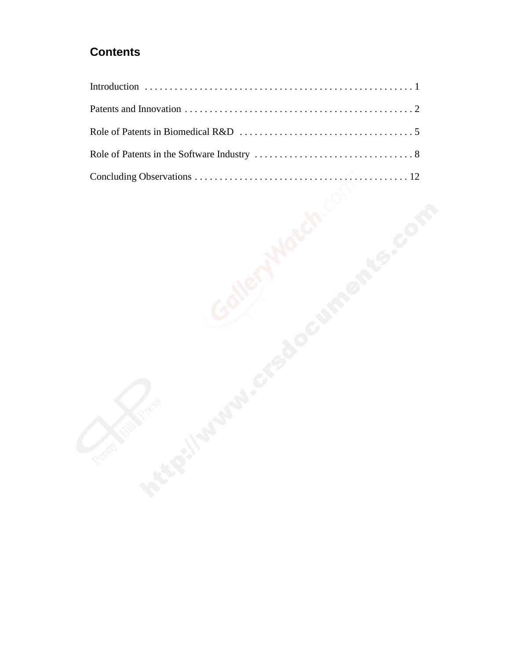## **Contents**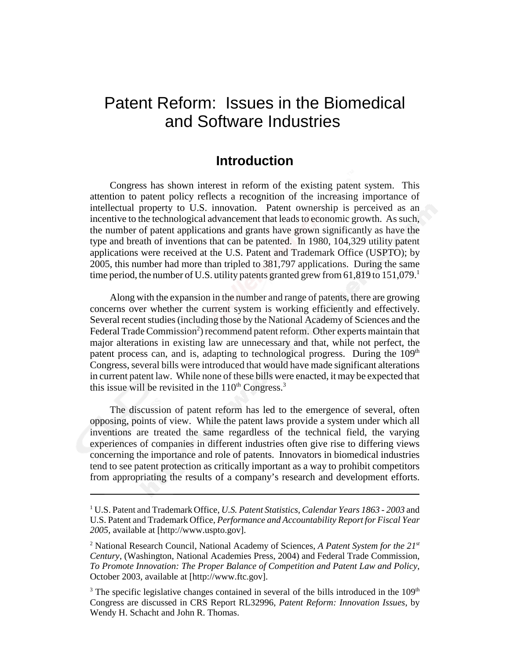# Patent Reform: Issues in the Biomedical and Software Industries

#### **Introduction**

Congress has shown interest in reform of the existing patent system. This attention to patent policy reflects a recognition of the increasing importance of intellectual property to U.S. innovation. Patent ownership is perceived as an incentive to the technological advancement that leads to economic growth. As such, the number of patent applications and grants have grown significantly as have the type and breath of inventions that can be patented. In 1980, 104,329 utility patent applications were received at the U.S. Patent and Trademark Office (USPTO); by 2005, this number had more than tripled to 381,797 applications. During the same time period, the number of U.S. utility patents granted grew from  $61,819$  to  $151,079$ .

Along with the expansion in the number and range of patents, there are growing concerns over whether the current system is working efficiently and effectively. Several recent studies (including those by the National Academy of Sciences and the Federal Trade Commission<sup>2</sup>) recommend patent reform. Other experts maintain that major alterations in existing law are unnecessary and that, while not perfect, the patent process can, and is, adapting to technological progress. During the  $109<sup>th</sup>$ Congress, several bills were introduced that would have made significant alterations in current patent law. While none of these bills were enacted, it may be expected that this issue will be revisited in the  $110<sup>th</sup>$  Congress.<sup>3</sup>

The discussion of patent reform has led to the emergence of several, often opposing, points of view. While the patent laws provide a system under which all inventions are treated the same regardless of the technical field, the varying experiences of companies in different industries often give rise to differing views concerning the importance and role of patents. Innovators in biomedical industries tend to see patent protection as critically important as a way to prohibit competitors from appropriating the results of a company's research and development efforts.

<sup>1</sup> U.S. Patent and Trademark Office, *U.S. Patent Statistics, Calendar Years 1863 - 2003* and U.S. Patent and Trademark Office, *Performance and Accountability Report for Fiscal Year 2005*, available at [http://www.uspto.gov].

<sup>&</sup>lt;sup>2</sup> National Research Council, National Academy of Sciences, *A Patent System for the 21<sup>st</sup> Century*, (Washington, National Academies Press, 2004) and Federal Trade Commission, *To Promote Innovation: The Proper Balance of Competition and Patent Law and Policy*, October 2003, available at [http://www.ftc.gov].

 $3$  The specific legislative changes contained in several of the bills introduced in the  $109<sup>th</sup>$ Congress are discussed in CRS Report RL32996, *Patent Reform: Innovation Issues*, by Wendy H. Schacht and John R. Thomas.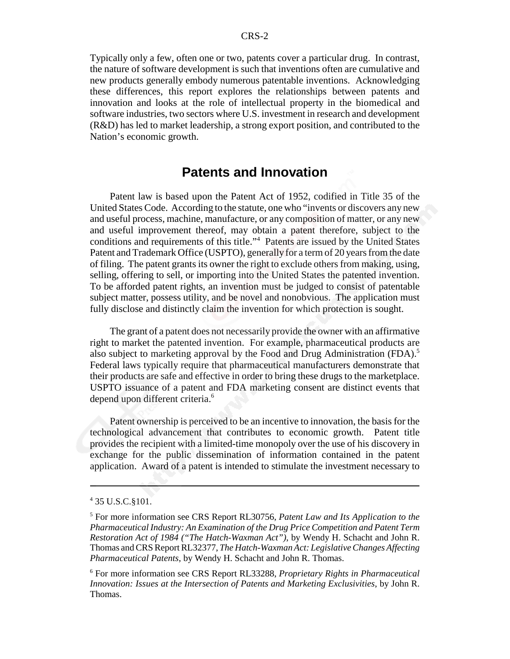Typically only a few, often one or two, patents cover a particular drug. In contrast, the nature of software development is such that inventions often are cumulative and new products generally embody numerous patentable inventions. Acknowledging these differences, this report explores the relationships between patents and innovation and looks at the role of intellectual property in the biomedical and software industries, two sectors where U.S. investment in research and development (R&D) has led to market leadership, a strong export position, and contributed to the Nation's economic growth.

#### **Patents and Innovation**

Patent law is based upon the Patent Act of 1952, codified in Title 35 of the United States Code. According to the statute, one who "invents or discovers any new and useful process, machine, manufacture, or any composition of matter, or any new and useful improvement thereof, may obtain a patent therefore, subject to the conditions and requirements of this title."4 Patents are issued by the United States Patent and Trademark Office (USPTO), generally for a term of 20 years from the date of filing. The patent grants its owner the right to exclude others from making, using, selling, offering to sell, or importing into the United States the patented invention. To be afforded patent rights, an invention must be judged to consist of patentable subject matter, possess utility, and be novel and nonobvious. The application must fully disclose and distinctly claim the invention for which protection is sought.

The grant of a patent does not necessarily provide the owner with an affirmative right to market the patented invention. For example, pharmaceutical products are also subject to marketing approval by the Food and Drug Administration (FDA).<sup>5</sup> Federal laws typically require that pharmaceutical manufacturers demonstrate that their products are safe and effective in order to bring these drugs to the marketplace. USPTO issuance of a patent and FDA marketing consent are distinct events that depend upon different criteria.<sup>6</sup>

Patent ownership is perceived to be an incentive to innovation, the basis for the technological advancement that contributes to economic growth. Patent title provides the recipient with a limited-time monopoly over the use of his discovery in exchange for the public dissemination of information contained in the patent application. Award of a patent is intended to stimulate the investment necessary to

<sup>4</sup> 35 U.S.C.§101.

<sup>5</sup> For more information see CRS Report RL30756, *Patent Law and Its Application to the Pharmaceutical Industry: An Examination of the Drug Price Competition and Patent Term Restoration Act of 1984 ("The Hatch-Waxman Act")*, by Wendy H. Schacht and John R. Thomas and CRS Report RL32377, *The Hatch-Waxman Act: Legislative Changes Affecting Pharmaceutical Patents*, by Wendy H. Schacht and John R. Thomas.

<sup>6</sup> For more information see CRS Report RL33288, *Proprietary Rights in Pharmaceutical Innovation: Issues at the Intersection of Patents and Marketing Exclusivities*, by John R. Thomas.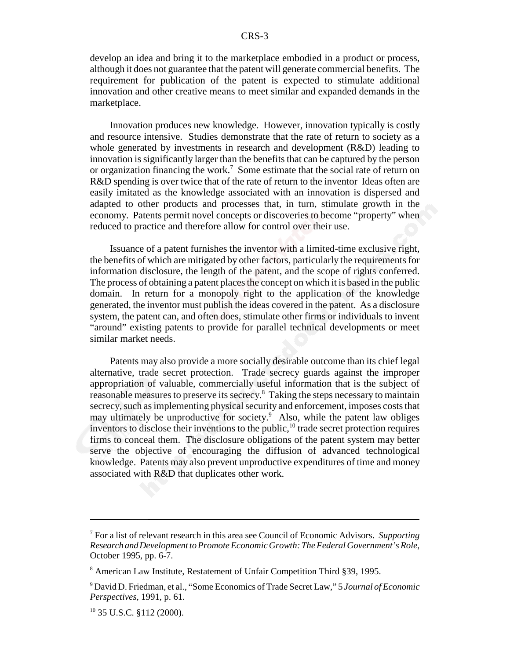develop an idea and bring it to the marketplace embodied in a product or process, although it does not guarantee that the patent will generate commercial benefits. The requirement for publication of the patent is expected to stimulate additional innovation and other creative means to meet similar and expanded demands in the marketplace.

Innovation produces new knowledge. However, innovation typically is costly and resource intensive. Studies demonstrate that the rate of return to society as a whole generated by investments in research and development (R&D) leading to innovation is significantly larger than the benefits that can be captured by the person or organization financing the work.<sup>7</sup> Some estimate that the social rate of return on R&D spending is over twice that of the rate of return to the inventor Ideas often are easily imitated as the knowledge associated with an innovation is dispersed and adapted to other products and processes that, in turn, stimulate growth in the economy. Patents permit novel concepts or discoveries to become "property" when reduced to practice and therefore allow for control over their use.

Issuance of a patent furnishes the inventor with a limited-time exclusive right, the benefits of which are mitigated by other factors, particularly the requirements for information disclosure, the length of the patent, and the scope of rights conferred. The process of obtaining a patent places the concept on which it is based in the public domain. In return for a monopoly right to the application of the knowledge generated, the inventor must publish the ideas covered in the patent. As a disclosure system, the patent can, and often does, stimulate other firms or individuals to invent "around" existing patents to provide for parallel technical developments or meet similar market needs.

Patents may also provide a more socially desirable outcome than its chief legal alternative, trade secret protection. Trade secrecy guards against the improper appropriation of valuable, commercially useful information that is the subject of reasonable measures to preserve its secrecy.8 Taking the steps necessary to maintain secrecy, such as implementing physical security and enforcement, imposes costs that may ultimately be unproductive for society.<sup>9</sup> Also, while the patent law obliges inventors to disclose their inventions to the public, $\frac{10}{10}$  trade secret protection requires firms to conceal them. The disclosure obligations of the patent system may better serve the objective of encouraging the diffusion of advanced technological knowledge. Patents may also prevent unproductive expenditures of time and money associated with R&D that duplicates other work.

<sup>7</sup> For a list of relevant research in this area see Council of Economic Advisors. *Supporting Research and Development to Promote Economic Growth: The Federal Government's Role*, October 1995, pp. 6-7.

<sup>8</sup> American Law Institute, Restatement of Unfair Competition Third §39, 1995.

<sup>9</sup> David D. Friedman, et al., "Some Economics of Trade Secret Law," 5 *Journal of Economic Perspectives*, 1991, p. 61.

 $10$  35 U.S.C. §112 (2000).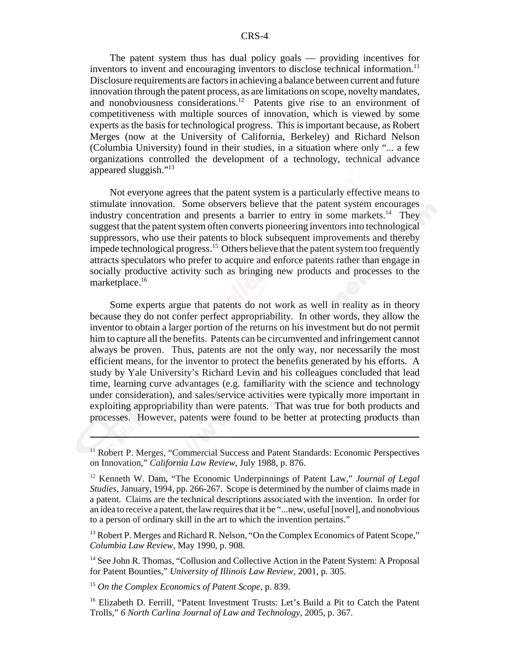The patent system thus has dual policy goals — providing incentives for inventors to invent and encouraging inventors to disclose technical information.<sup>11</sup> Disclosure requirements are factors in achieving a balance between current and future innovation through the patent process, as are limitations on scope, novelty mandates, and nonobviousness considerations.<sup>12</sup> Patents give rise to an environment of competitiveness with multiple sources of innovation, which is viewed by some experts as the basis for technological progress. This is important because, as Robert Merges (now at the University of California, Berkeley) and Richard Nelson (Columbia University) found in their studies, in a situation where only "... a few organizations controlled the development of a technology, technical advance appeared sluggish."<sup>13</sup>

Not everyone agrees that the patent system is a particularly effective means to stimulate innovation. Some observers believe that the patent system encourages industry concentration and presents a barrier to entry in some markets.<sup>14</sup> They suggest that the patent system often converts pioneering inventors into technological suppressors, who use their patents to block subsequent improvements and thereby impede technological progress.15 Others believe that the patent system too frequently attracts speculators who prefer to acquire and enforce patents rather than engage in socially productive activity such as bringing new products and processes to the marketplace.<sup>16</sup>

Some experts argue that patents do not work as well in reality as in theory because they do not confer perfect appropriability. In other words, they allow the inventor to obtain a larger portion of the returns on his investment but do not permit him to capture all the benefits. Patents can be circumvented and infringement cannot always be proven. Thus, patents are not the only way, nor necessarily the most efficient means, for the inventor to protect the benefits generated by his efforts. A study by Yale University's Richard Levin and his colleagues concluded that lead time, learning curve advantages (e.g. familiarity with the science and technology under consideration), and sales/service activities were typically more important in exploiting appropriability than were patents. That was true for both products and processes. However, patents were found to be better at protecting products than

<sup>&</sup>lt;sup>11</sup> Robert P. Merges, "Commercial Success and Patent Standards: Economic Perspectives on Innovation," *California Law Review*, July 1988, p. 876.

<sup>12</sup> Kenneth W. Dam, "The Economic Underpinnings of Patent Law," *Journal of Legal Studies*, January, 1994, pp. 266-267. Scope is determined by the number of claims made in a patent. Claims are the technical descriptions associated with the invention. In order for an idea to receive a patent, the law requires that it be "...new, useful [novel], and nonobvious to a person of ordinary skill in the art to which the invention pertains."

<sup>&</sup>lt;sup>13</sup> Robert P. Merges and Richard R. Nelson, "On the Complex Economics of Patent Scope," *Columbia Law Review*, May 1990, p. 908.

<sup>&</sup>lt;sup>14</sup> See John R. Thomas, "Collusion and Collective Action in the Patent System: A Proposal for Patent Bounties," *University of Illinois Law Review*, 2001, p. 305.

<sup>15</sup> *On the Complex Economics of Patent Scope*, p. 839.

<sup>&</sup>lt;sup>16</sup> Elizabeth D. Ferrill, "Patent Investment Trusts: Let's Build a Pit to Catch the Patent Trolls," *6 North Carlina Journal of Law and Technology*, 2005, p. 367.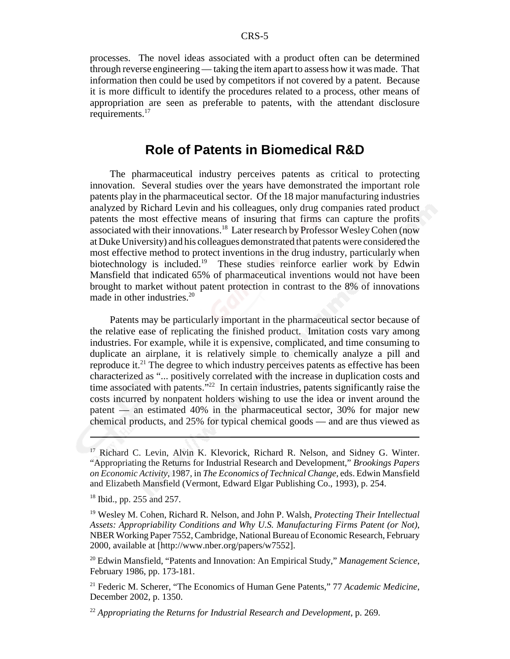processes. The novel ideas associated with a product often can be determined through reverse engineering — taking the item apart to assess how it was made. That information then could be used by competitors if not covered by a patent. Because it is more difficult to identify the procedures related to a process, other means of appropriation are seen as preferable to patents, with the attendant disclosure requirements.<sup>17</sup>

#### **Role of Patents in Biomedical R&D**

The pharmaceutical industry perceives patents as critical to protecting innovation. Several studies over the years have demonstrated the important role patents play in the pharmaceutical sector. Of the 18 major manufacturing industries analyzed by Richard Levin and his colleagues, only drug companies rated product patents the most effective means of insuring that firms can capture the profits associated with their innovations.<sup>18</sup> Later research by Professor Wesley Cohen (now at Duke University) and his colleagues demonstrated that patents were considered the most effective method to protect inventions in the drug industry, particularly when biotechnology is included.<sup>19</sup> These studies reinforce earlier work by Edwin Mansfield that indicated 65% of pharmaceutical inventions would not have been brought to market without patent protection in contrast to the 8% of innovations made in other industries.<sup>20</sup>

Patents may be particularly important in the pharmaceutical sector because of the relative ease of replicating the finished product. Imitation costs vary among industries. For example, while it is expensive, complicated, and time consuming to duplicate an airplane, it is relatively simple to chemically analyze a pill and reproduce it. $^{21}$  The degree to which industry perceives patents as effective has been characterized as "... positively correlated with the increase in duplication costs and time associated with patents."<sup>22</sup> In certain industries, patents significantly raise the costs incurred by nonpatent holders wishing to use the idea or invent around the patent — an estimated 40% in the pharmaceutical sector, 30% for major new chemical products, and 25% for typical chemical goods — and are thus viewed as

<sup>&</sup>lt;sup>17</sup> Richard C. Levin, Alvin K. Klevorick, Richard R. Nelson, and Sidney G. Winter. "Appropriating the Returns for Industrial Research and Development," *Brookings Papers on Economic Activity*, 1987, in *The Economics of Technical Change*, eds. Edwin Mansfield and Elizabeth Mansfield (Vermont, Edward Elgar Publishing Co., 1993), p. 254.

<sup>18</sup> Ibid., pp. 255 and 257.

<sup>19</sup> Wesley M. Cohen, Richard R. Nelson, and John P. Walsh, *Protecting Their Intellectual Assets: Appropriability Conditions and Why U.S. Manufacturing Firms Patent (or Not)*, NBER Working Paper 7552, Cambridge, National Bureau of Economic Research, February 2000, available at [http://www.nber.org/papers/w7552].

<sup>20</sup> Edwin Mansfield, "Patents and Innovation: An Empirical Study," *Management Science*, February 1986, pp. 173-181.

<sup>21</sup> Federic M. Scherer, "The Economics of Human Gene Patents," 77 *Academic Medicine*, December 2002, p. 1350.

<sup>22</sup> *Appropriating the Returns for Industrial Research and Development*, p. 269.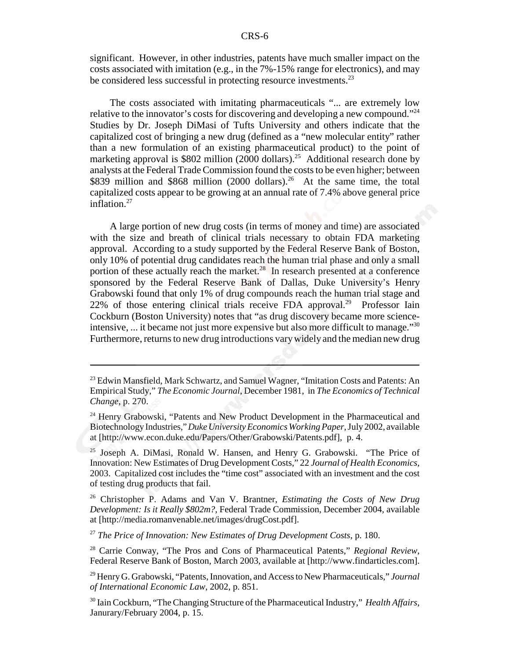significant. However, in other industries, patents have much smaller impact on the costs associated with imitation (e.g., in the 7%-15% range for electronics), and may be considered less successful in protecting resource investments.<sup>23</sup>

The costs associated with imitating pharmaceuticals "... are extremely low relative to the innovator's costs for discovering and developing a new compound."<sup>24</sup> Studies by Dr. Joseph DiMasi of Tufts University and others indicate that the capitalized cost of bringing a new drug (defined as a "new molecular entity" rather than a new formulation of an existing pharmaceutical product) to the point of marketing approval is \$802 million  $(2000 \text{ dollars})^{25}$  Additional research done by analysts at the Federal Trade Commission found the costs to be even higher; between \$839 million and \$868 million  $(2000 \text{ dollars})^{26}$  At the same time, the total capitalized costs appear to be growing at an annual rate of 7.4% above general price inflation.<sup>27</sup>

A large portion of new drug costs (in terms of money and time) are associated with the size and breath of clinical trials necessary to obtain FDA marketing approval. According to a study supported by the Federal Reserve Bank of Boston, only 10% of potential drug candidates reach the human trial phase and only a small portion of these actually reach the market. $^{28}$  In research presented at a conference sponsored by the Federal Reserve Bank of Dallas, Duke University's Henry Grabowski found that only 1% of drug compounds reach the human trial stage and  $22\%$  of those entering clinical trials receive FDA approval.<sup>29</sup> Professor Iain Cockburn (Boston University) notes that "as drug discovery became more scienceintensive, ... it became not just more expensive but also more difficult to manage."<sup>30</sup> Furthermore, returns to new drug introductions vary widely and the median new drug

<sup>27</sup> *The Price of Innovation: New Estimates of Drug Development Costs*, p. 180.

<sup>&</sup>lt;sup>23</sup> Edwin Mansfield, Mark Schwartz, and Samuel Wagner, "Imitation Costs and Patents: An Empirical Study," *The Economic Journal*, December 1981, in *The Economics of Technical Change*, p. 270.

<sup>&</sup>lt;sup>24</sup> Henry Grabowski, "Patents and New Product Development in the Pharmaceutical and Biotechnology Industries," *Duke University Economics Working Paper*, July 2002, available at [http://www.econ.duke.edu/Papers/Other/Grabowski/Patents.pdf], p. 4.

<sup>&</sup>lt;sup>25</sup> Joseph A. DiMasi, Ronald W. Hansen, and Henry G. Grabowski. "The Price of Innovation: New Estimates of Drug Development Costs," 22 *Journal of Health Economics*, 2003. Capitalized cost includes the "time cost" associated with an investment and the cost of testing drug products that fail.

<sup>26</sup> Christopher P. Adams and Van V. Brantner, *Estimating the Costs of New Drug Development: Is it Really \$802m?*, Federal Trade Commission, December 2004, available at [http://media.romanvenable.net/images/drugCost.pdf].

<sup>28</sup> Carrie Conway, "The Pros and Cons of Pharmaceutical Patents," *Regional Review*, Federal Reserve Bank of Boston, March 2003, available at [http://www.findarticles.com].

<sup>29</sup> Henry G. Grabowski, "Patents, Innovation, and Access to New Pharmaceuticals," *Journal of International Economic Law*, 2002, p. 851.

<sup>30</sup> Iain Cockburn, "The Changing Structure of the Pharmaceutical Industry," *Health Affairs*, Janurary/February 2004, p. 15.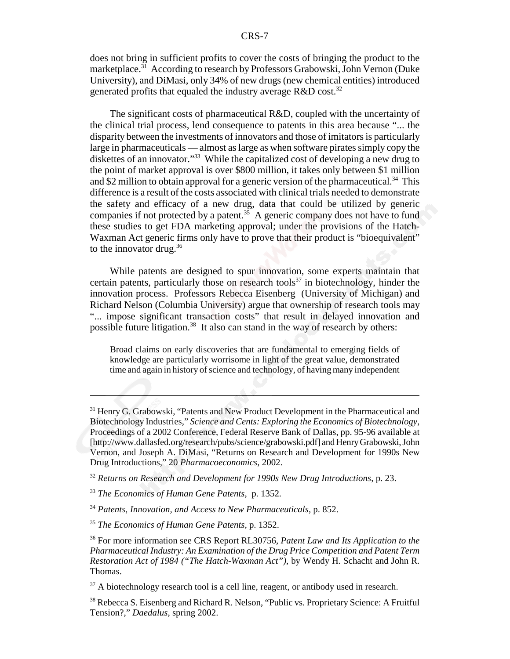does not bring in sufficient profits to cover the costs of bringing the product to the marketplace.<sup>31</sup> According to research by Professors Grabowski, John Vernon (Duke University), and DiMasi, only 34% of new drugs (new chemical entities) introduced generated profits that equaled the industry average  $R&D \text{ cost.}^{32}$ 

The significant costs of pharmaceutical R&D, coupled with the uncertainty of the clinical trial process, lend consequence to patents in this area because "... the disparity between the investments of innovators and those of imitators is particularly large in pharmaceuticals — almost as large as when software pirates simply copy the diskettes of an innovator."<sup>33</sup> While the capitalized cost of developing a new drug to the point of market approval is over \$800 million, it takes only between \$1 million and \$2 million to obtain approval for a generic version of the pharmaceutical.<sup>34</sup> This difference is a result of the costs associated with clinical trials needed to demonstrate the safety and efficacy of a new drug, data that could be utilized by generic companies if not protected by a patent.<sup>35</sup> A generic company does not have to fund these studies to get FDA marketing approval; under the provisions of the Hatch-Waxman Act generic firms only have to prove that their product is "bioequivalent" to the innovator drug. $36$ 

While patents are designed to spur innovation, some experts maintain that certain patents, particularly those on research tools $^{37}$  in biotechnology, hinder the innovation process. Professors Rebecca Eisenberg (University of Michigan) and Richard Nelson (Columbia University) argue that ownership of research tools may "... impose significant transaction costs" that result in delayed innovation and possible future litigation.38 It also can stand in the way of research by others:

Broad claims on early discoveries that are fundamental to emerging fields of knowledge are particularly worrisome in light of the great value, demonstrated time and again in history of science and technology, of having many independent

<sup>&</sup>lt;sup>31</sup> Henry G. Grabowski, "Patents and New Product Development in the Pharmaceutical and Biotechnology Industries," *Science and Cents: Exploring the Economics of Biotechnology*, Proceedings of a 2002 Conference, Federal Reserve Bank of Dallas, pp. 95-96 available at [http://www.dallasfed.org/research/pubs/science/grabowski.pdf] and Henry Grabowski, John Vernon, and Joseph A. DiMasi, "Returns on Research and Development for 1990s New Drug Introductions," 20 *Pharmacoeconomics*, 2002.

<sup>32</sup> *Returns on Research and Development for 1990s New Drug Introductions*, p. 23.

<sup>33</sup> *The Economics of Human Gene Patents*, p. 1352.

<sup>34</sup> *Patents, Innovation, and Access to New Pharmaceuticals*, p. 852.

<sup>35</sup> *The Economics of Human Gene Patents*, p. 1352.

<sup>36</sup> For more information see CRS Report RL30756, *Patent Law and Its Application to the Pharmaceutical Industry: An Examination of the Drug Price Competition and Patent Term Restoration Act of 1984 ("The Hatch-Waxman Act")*, by Wendy H. Schacht and John R. Thomas.

 $37$  A biotechnology research tool is a cell line, reagent, or antibody used in research.

<sup>38</sup> Rebecca S. Eisenberg and Richard R. Nelson, "Public vs. Proprietary Science: A Fruitful Tension?," *Daedalus*, spring 2002.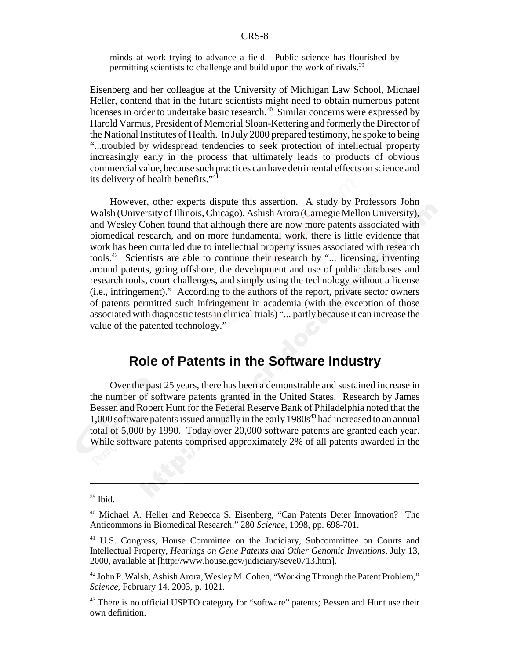minds at work trying to advance a field. Public science has flourished by permitting scientists to challenge and build upon the work of rivals.<sup>39</sup>

Eisenberg and her colleague at the University of Michigan Law School, Michael Heller, contend that in the future scientists might need to obtain numerous patent licenses in order to undertake basic research.<sup>40</sup> Similar concerns were expressed by Harold Varmus, President of Memorial Sloan-Kettering and formerly the Director of the National Institutes of Health. In July 2000 prepared testimony, he spoke to being "...troubled by widespread tendencies to seek protection of intellectual property increasingly early in the process that ultimately leads to products of obvious commercial value, because such practices can have detrimental effects on science and its delivery of health benefits."<sup>41</sup>

However, other experts dispute this assertion. A study by Professors John Walsh (University of Illinois, Chicago), Ashish Arora (Carnegie Mellon University), and Wesley Cohen found that although there are now more patents associated with biomedical research, and on more fundamental work, there is little evidence that work has been curtailed due to intellectual property issues associated with research tools.42 Scientists are able to continue their research by "... licensing, inventing around patents, going offshore, the development and use of public databases and research tools, court challenges, and simply using the technology without a license (i.e., infringement)." According to the authors of the report, private sector owners of patents permitted such infringement in academia (with the exception of those associated with diagnostic tests in clinical trials) "... partly because it can increase the value of the patented technology."

#### **Role of Patents in the Software Industry**

Over the past 25 years, there has been a demonstrable and sustained increase in the number of software patents granted in the United States. Research by James Bessen and Robert Hunt for the Federal Reserve Bank of Philadelphia noted that the  $1,000$  software patents issued annually in the early 1980s<sup>43</sup> had increased to an annual total of 5,000 by 1990. Today over 20,000 software patents are granted each year. While software patents comprised approximately 2% of all patents awarded in the

<sup>39</sup> Ibid.

<sup>&</sup>lt;sup>40</sup> Michael A. Heller and Rebecca S. Eisenberg, "Can Patents Deter Innovation? The Anticommons in Biomedical Research," 280 *Science*, 1998, pp. 698-701.

<sup>&</sup>lt;sup>41</sup> U.S. Congress, House Committee on the Judiciary, Subcommittee on Courts and Intellectual Property, *Hearings on Gene Patents and Other Genomic Inventions*, July 13, 2000, available at [http://www.house.gov/judiciary/seve0713.htm].

<sup>&</sup>lt;sup>42</sup> John P. Walsh, Ashish Arora, Wesley M. Cohen, "Working Through the Patent Problem," *Science*, February 14, 2003, p. 1021.

<sup>&</sup>lt;sup>43</sup> There is no official USPTO category for "software" patents; Bessen and Hunt use their own definition.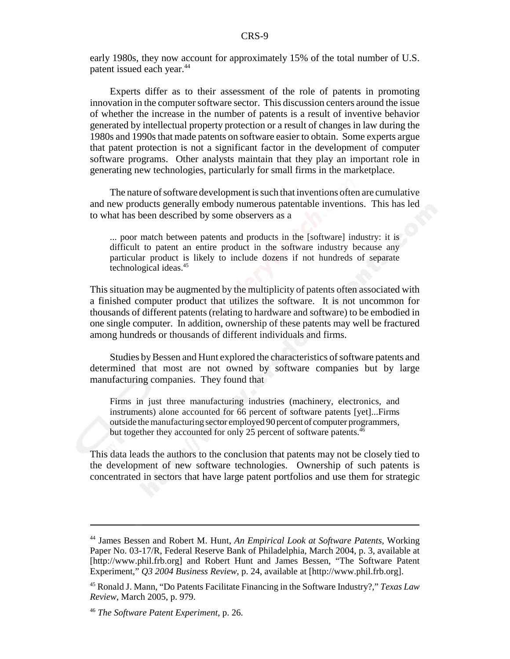early 1980s, they now account for approximately 15% of the total number of U.S. patent issued each year.<sup>44</sup>

Experts differ as to their assessment of the role of patents in promoting innovation in the computer software sector. This discussion centers around the issue of whether the increase in the number of patents is a result of inventive behavior generated by intellectual property protection or a result of changes in law during the 1980s and 1990s that made patents on software easier to obtain. Some experts argue that patent protection is not a significant factor in the development of computer software programs. Other analysts maintain that they play an important role in generating new technologies, particularly for small firms in the marketplace.

The nature of software development is such that inventions often are cumulative and new products generally embody numerous patentable inventions. This has led to what has been described by some observers as a

... poor match between patents and products in the [software] industry: it is difficult to patent an entire product in the software industry because any particular product is likely to include dozens if not hundreds of separate technological ideas.<sup>45</sup>

This situation may be augmented by the multiplicity of patents often associated with a finished computer product that utilizes the software. It is not uncommon for thousands of different patents (relating to hardware and software) to be embodied in one single computer. In addition, ownership of these patents may well be fractured among hundreds or thousands of different individuals and firms.

Studies by Bessen and Hunt explored the characteristics of software patents and determined that most are not owned by software companies but by large manufacturing companies. They found that

Firms in just three manufacturing industries (machinery, electronics, and instruments) alone accounted for 66 percent of software patents [yet]...Firms outside the manufacturing sector employed 90 percent of computer programmers, but together they accounted for only 25 percent of software patents.<sup>46</sup>

This data leads the authors to the conclusion that patents may not be closely tied to the development of new software technologies. Ownership of such patents is concentrated in sectors that have large patent portfolios and use them for strategic

<sup>44</sup> James Bessen and Robert M. Hunt, *An Empirical Look at Software Patents*, Working Paper No. 03-17/R, Federal Reserve Bank of Philadelphia, March 2004, p. 3, available at [http://www.phil.frb.org] and Robert Hunt and James Bessen, "The Software Patent Experiment," *Q3 2004 Business Review*, p. 24, available at [http://www.phil.frb.org].

<sup>45</sup> Ronald J. Mann, "Do Patents Facilitate Financing in the Software Industry?," *Texas Law Review*, March 2005, p. 979.

<sup>46</sup> *The Software Patent Experiment*, p. 26.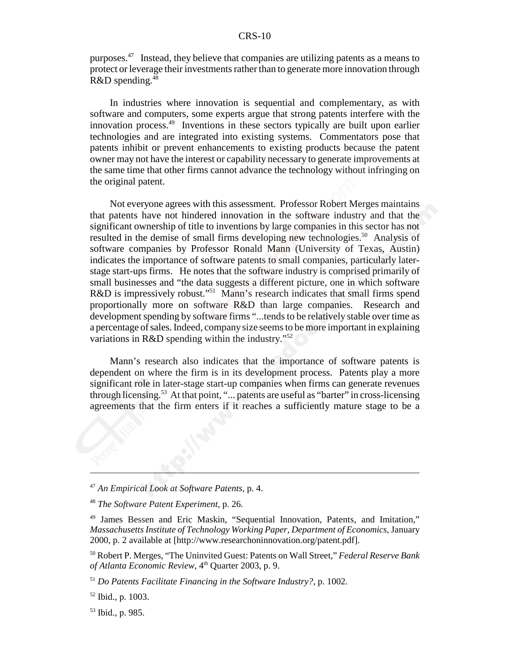purposes.47 Instead, they believe that companies are utilizing patents as a means to protect or leverage their investments rather than to generate more innovation through  $R&D$  spending.<sup>48</sup>

In industries where innovation is sequential and complementary, as with software and computers, some experts argue that strong patents interfere with the innovation process.49 Inventions in these sectors typically are built upon earlier technologies and are integrated into existing systems. Commentators pose that patents inhibit or prevent enhancements to existing products because the patent owner may not have the interest or capability necessary to generate improvements at the same time that other firms cannot advance the technology without infringing on the original patent.

Not everyone agrees with this assessment. Professor Robert Merges maintains that patents have not hindered innovation in the software industry and that the significant ownership of title to inventions by large companies in this sector has not resulted in the demise of small firms developing new technologies.<sup>50</sup> Analysis of software companies by Professor Ronald Mann (University of Texas, Austin) indicates the importance of software patents to small companies, particularly laterstage start-ups firms. He notes that the software industry is comprised primarily of small businesses and "the data suggests a different picture, one in which software R&D is impressively robust."<sup>51</sup> Mann's research indicates that small firms spend proportionally more on software R&D than large companies. Research and development spending by software firms "...tends to be relatively stable over time as a percentage of sales. Indeed, company size seems to be more important in explaining variations in R&D spending within the industry."<sup>52</sup>

Mann's research also indicates that the importance of software patents is dependent on where the firm is in its development process. Patents play a more significant role in later-stage start-up companies when firms can generate revenues through licensing.53 At that point, "... patents are useful as "barter" in cross-licensing agreements that the firm enters if it reaches a sufficiently mature stage to be a

<sup>47</sup> *An Empirical Look at Software Patents*, p. 4.

<sup>48</sup> *The Software Patent Experiment*, p. 26.

<sup>49</sup> James Bessen and Eric Maskin, "Sequential Innovation, Patents, and Imitation," *Massachusetts Institute of Technology Working Paper, Department of Economics*, January 2000, p. 2 available at [http://www.researchoninnovation.org/patent.pdf].

<sup>50</sup> Robert P. Merges, "The Uninvited Guest: Patents on Wall Street," *Federal Reserve Bank of Atlanta Economic Review*, 4<sup>th</sup> Quarter 2003, p. 9.

<sup>51</sup> *Do Patents Facilitate Financing in the Software Industry?*, p. 1002.

<sup>52</sup> Ibid., p. 1003.

<sup>53</sup> Ibid., p. 985.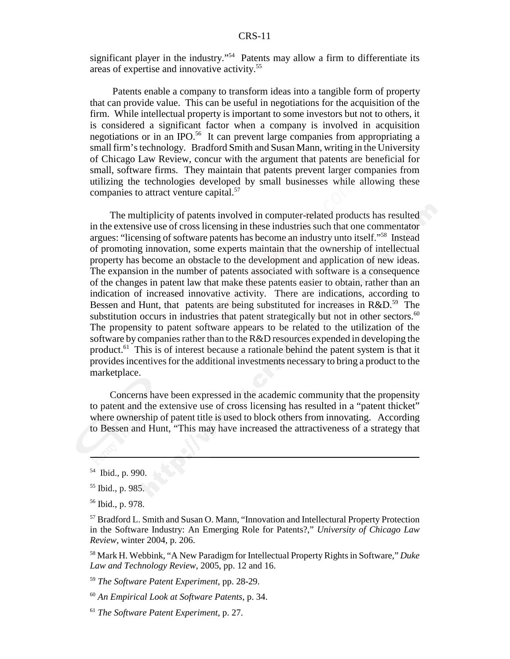significant player in the industry."54 Patents may allow a firm to differentiate its areas of expertise and innovative activity.55

 Patents enable a company to transform ideas into a tangible form of property that can provide value. This can be useful in negotiations for the acquisition of the firm. While intellectual property is important to some investors but not to others, it is considered a significant factor when a company is involved in acquisition negotiations or in an IPO.<sup>56</sup> It can prevent large companies from appropriating a small firm's technology. Bradford Smith and Susan Mann, writing in the University of Chicago Law Review, concur with the argument that patents are beneficial for small, software firms. They maintain that patents prevent larger companies from utilizing the technologies developed by small businesses while allowing these companies to attract venture capital.<sup>57</sup>

The multiplicity of patents involved in computer-related products has resulted in the extensive use of cross licensing in these industries such that one commentator argues: "licensing of software patents has become an industry unto itself."58 Instead of promoting innovation, some experts maintain that the ownership of intellectual property has become an obstacle to the development and application of new ideas. The expansion in the number of patents associated with software is a consequence of the changes in patent law that make these patents easier to obtain, rather than an indication of increased innovative activity. There are indications, according to Bessen and Hunt, that patents are being substituted for increases in  $R&D$ <sup>59</sup>. The substitution occurs in industries that patent strategically but not in other sectors.<sup>60</sup> The propensity to patent software appears to be related to the utilization of the software by companies rather than to the R&D resources expended in developing the product.61 This is of interest because a rationale behind the patent system is that it provides incentives for the additional investments necessary to bring a product to the marketplace.

Concerns have been expressed in the academic community that the propensity to patent and the extensive use of cross licensing has resulted in a "patent thicket" where ownership of patent title is used to block others from innovating. According to Bessen and Hunt, "This may have increased the attractiveness of a strategy that

<sup>54</sup> Ibid., p. 990.

<sup>55</sup> Ibid., p. 985.

<sup>56</sup> Ibid., p. 978.

<sup>&</sup>lt;sup>57</sup> Bradford L. Smith and Susan O. Mann, "Innovation and Intellectural Property Protection in the Software Industry: An Emerging Role for Patents?," *University of Chicago Law Review*, winter 2004, p. 206.

<sup>58</sup> Mark H. Webbink, "A New Paradigm for Intellectual Property Rights in Software," *Duke Law and Technology Review*, 2005, pp. 12 and 16.

<sup>59</sup> *The Software Patent Experiment*, pp. 28-29.

<sup>60</sup> *An Empirical Look at Software Patents*, p. 34.

<sup>61</sup> *The Software Patent Experiment*, p. 27.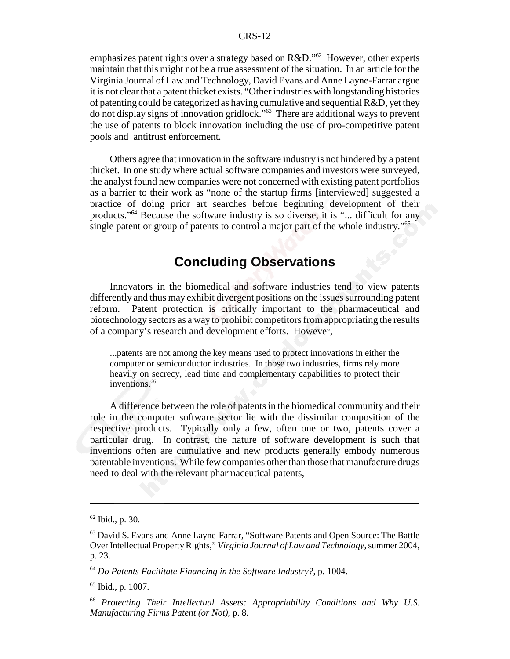#### CRS-12

emphasizes patent rights over a strategy based on R&D."<sup>62</sup> However, other experts maintain that this might not be a true assessment of the situation. In an article for the Virginia Journal of Law and Technology, David Evans and Anne Layne-Farrar argue it is not clear that a patent thicket exists. "Other industries with longstanding histories of patenting could be categorized as having cumulative and sequential R&D, yet they do not display signs of innovation gridlock."63 There are additional ways to prevent the use of patents to block innovation including the use of pro-competitive patent pools and antitrust enforcement.

Others agree that innovation in the software industry is not hindered by a patent thicket. In one study where actual software companies and investors were surveyed, the analyst found new companies were not concerned with existing patent portfolios as a barrier to their work as "none of the startup firms [interviewed] suggested a practice of doing prior art searches before beginning development of their products."64 Because the software industry is so diverse, it is "... difficult for any single patent or group of patents to control a major part of the whole industry.<sup>"65</sup>

#### **Concluding Observations**

Innovators in the biomedical and software industries tend to view patents differently and thus may exhibit divergent positions on the issues surrounding patent reform. Patent protection is critically important to the pharmaceutical and biotechnology sectors as a way to prohibit competitors from appropriating the results of a company's research and development efforts. However,

...patents are not among the key means used to protect innovations in either the computer or semiconductor industries. In those two industries, firms rely more heavily on secrecy, lead time and complementary capabilities to protect their inventions.<sup>66</sup>

A difference between the role of patents in the biomedical community and their role in the computer software sector lie with the dissimilar composition of the respective products. Typically only a few, often one or two, patents cover a particular drug. In contrast, the nature of software development is such that inventions often are cumulative and new products generally embody numerous patentable inventions. While few companies other than those that manufacture drugs need to deal with the relevant pharmaceutical patents,

 $62$  Ibid., p. 30.

<sup>63</sup> David S. Evans and Anne Layne-Farrar, "Software Patents and Open Source: The Battle Over Intellectual Property Rights," *Virginia Journal of Law and Technology*, summer 2004, p. 23.

<sup>64</sup> *Do Patents Facilitate Financing in the Software Industry?*, p. 1004.

<sup>65</sup> Ibid., p. 1007.

<sup>66</sup> *Protecting Their Intellectual Assets: Appropriability Conditions and Why U.S. Manufacturing Firms Patent (or Not)*, p. 8.